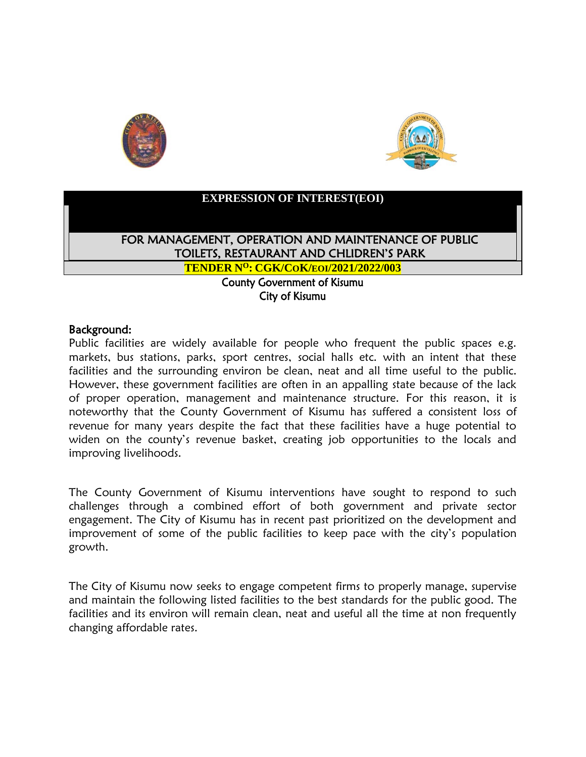



## **EXPRESSION OF INTEREST(EOI)**

FOR MANAGEMENT, OPERATION AND MAINTENANCE OF PUBLIC TOILETS, RESTAURANT AND CHLIDREN'S PARK

**TENDER N<sup>O</sup>: CGK/COK/EOI/2021/2022/003**

County Government of Kisumu City of Kisumu

## Background:

Public facilities are widely available for people who frequent the public spaces e.g. markets, bus stations, parks, sport centres, social halls etc. with an intent that these facilities and the surrounding environ be clean, neat and all time useful to the public. However, these government facilities are often in an appalling state because of the lack of proper operation, management and maintenance structure. For this reason, it is noteworthy that the County Government of Kisumu has suffered a consistent loss of revenue for many years despite the fact that these facilities have a huge potential to widen on the county's revenue basket, creating job opportunities to the locals and improving livelihoods.

The County Government of Kisumu interventions have sought to respond to such challenges through a combined effort of both government and private sector engagement. The City of Kisumu has in recent past prioritized on the development and improvement of some of the public facilities to keep pace with the city's population growth.

The City of Kisumu now seeks to engage competent firms to properly manage, supervise and maintain the following listed facilities to the best standards for the public good. The facilities and its environ will remain clean, neat and useful all the time at non frequently changing affordable rates.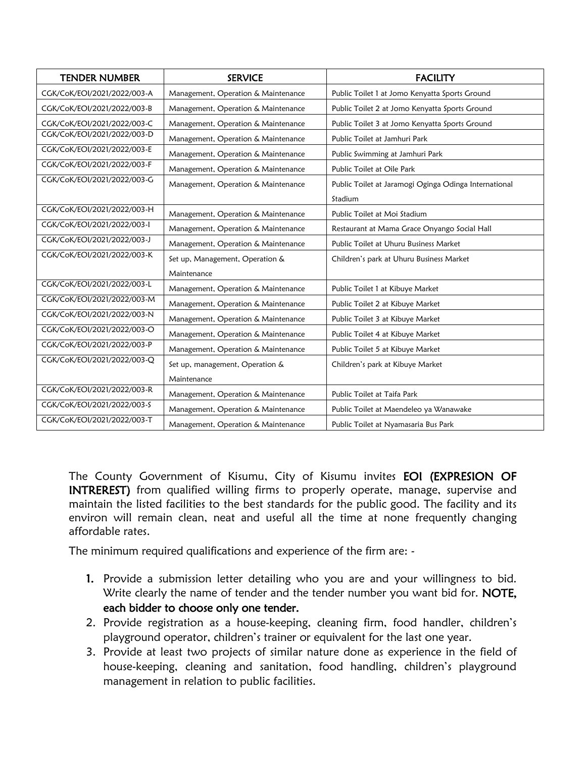| <b>TENDER NUMBER</b>        | <b>SERVICE</b>                      | <b>FACILITY</b>                                       |
|-----------------------------|-------------------------------------|-------------------------------------------------------|
| CGK/CoK/EOI/2021/2022/003-A | Management, Operation & Maintenance | Public Toilet 1 at Jomo Kenyatta Sports Ground        |
| CGK/CoK/EOI/2021/2022/003-B | Management, Operation & Maintenance | Public Toilet 2 at Jomo Kenyatta Sports Ground        |
| CGK/CoK/EOI/2021/2022/003-C | Management, Operation & Maintenance | Public Toilet 3 at Jomo Kenyatta Sports Ground        |
| CGK/CoK/EOI/2021/2022/003-D | Management, Operation & Maintenance | Public Toilet at Jamhuri Park                         |
| CGK/CoK/EOI/2021/2022/003-E | Management, Operation & Maintenance | Public Swimming at Jamhuri Park                       |
| CGK/CoK/EOI/2021/2022/003-F | Management, Operation & Maintenance | Public Toilet at Oile Park                            |
| CGK/CoK/EOI/2021/2022/003-G | Management, Operation & Maintenance | Public Toilet at Jaramogi Oginga Odinga International |
|                             |                                     | Stadium                                               |
| CGK/CoK/EOI/2021/2022/003-H | Management, Operation & Maintenance | Public Toilet at Moi Stadium                          |
| CGK/CoK/EOI/2021/2022/003-I | Management, Operation & Maintenance | Restaurant at Mama Grace Onyango Social Hall          |
| CGK/CoK/EOI/2021/2022/003-J | Management, Operation & Maintenance | Public Toilet at Uhuru Business Market                |
| CGK/CoK/EOI/2021/2022/003-K | Set up, Management, Operation &     | Children's park at Uhuru Business Market              |
|                             | Maintenance                         |                                                       |
| CGK/CoK/EOI/2021/2022/003-L | Management, Operation & Maintenance | Public Toilet 1 at Kibuye Market                      |
| CGK/CoK/EOI/2021/2022/003-M | Management, Operation & Maintenance | Public Toilet 2 at Kibuye Market                      |
| CGK/CoK/EOI/2021/2022/003-N | Management, Operation & Maintenance | Public Toilet 3 at Kibuye Market                      |
| CGK/CoK/EOI/2021/2022/003-O | Management, Operation & Maintenance | Public Toilet 4 at Kibuye Market                      |
| CGK/CoK/EOI/2021/2022/003-P | Management, Operation & Maintenance | Public Toilet 5 at Kibuye Market                      |
| CGK/CoK/EOI/2021/2022/003-Q | Set up, management, Operation &     | Children's park at Kibuye Market                      |
|                             | Maintenance                         |                                                       |
| CGK/CoK/EOI/2021/2022/003-R | Management, Operation & Maintenance | Public Toilet at Taifa Park                           |
| CGK/CoK/EOI/2021/2022/003-S | Management, Operation & Maintenance | Public Toilet at Maendeleo ya Wanawake                |
| CGK/CoK/EOI/2021/2022/003-T | Management, Operation & Maintenance | Public Toilet at Nyamasaria Bus Park                  |

The County Government of Kisumu, City of Kisumu invites EOI (EXPRESION OF INTREREST) from qualified willing firms to properly operate, manage, supervise and maintain the listed facilities to the best standards for the public good. The facility and its environ will remain clean, neat and useful all the time at none frequently changing affordable rates.

The minimum required qualifications and experience of the firm are: -

- 1. Provide a submission letter detailing who you are and your willingness to bid. Write clearly the name of tender and the tender number you want bid for. NOTE, each bidder to choose only one tender.
- 2. Provide registration as a house-keeping, cleaning firm, food handler, children's playground operator, children's trainer or equivalent for the last one year.
- 3. Provide at least two projects of similar nature done as experience in the field of house-keeping, cleaning and sanitation, food handling, children's playground management in relation to public facilities.